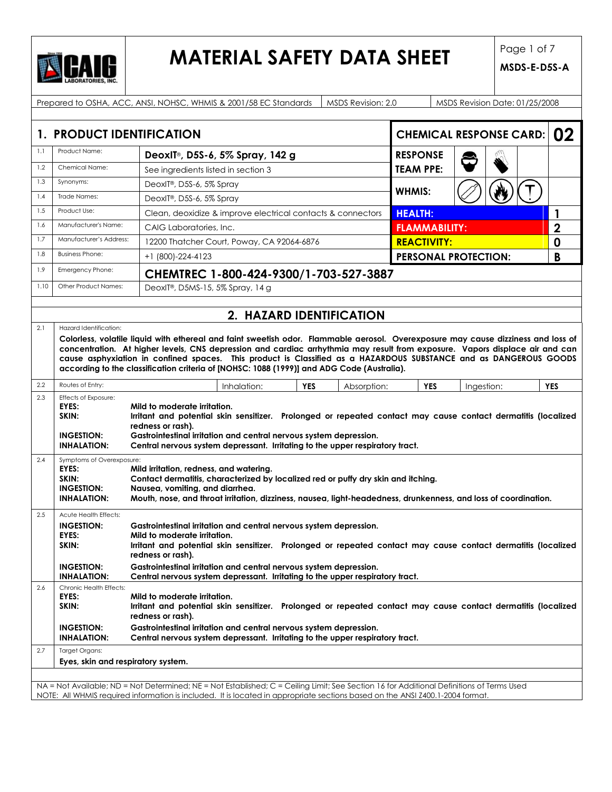

## **MATERIAL SAFETY DATA SHEET** Page 1 of 7

|      | Prepared to OSHA, ACC, ANSI, NOHSC, WHMIS & 2001/58 EC Standards<br>MSDS Revision: 2.0<br>MSDS Revision Date: 01/25/2008                                                                                                                                                                                                                                                                                                                                                                                   |                                                                                            |                          |            |             |                                        |  |            |            |
|------|------------------------------------------------------------------------------------------------------------------------------------------------------------------------------------------------------------------------------------------------------------------------------------------------------------------------------------------------------------------------------------------------------------------------------------------------------------------------------------------------------------|--------------------------------------------------------------------------------------------|--------------------------|------------|-------------|----------------------------------------|--|------------|------------|
|      |                                                                                                                                                                                                                                                                                                                                                                                                                                                                                                            |                                                                                            |                          |            |             |                                        |  |            |            |
|      | 02<br>1. PRODUCT IDENTIFICATION<br><b>CHEMICAL RESPONSE CARD:</b>                                                                                                                                                                                                                                                                                                                                                                                                                                          |                                                                                            |                          |            |             |                                        |  |            |            |
| 1.1  | Product Name:                                                                                                                                                                                                                                                                                                                                                                                                                                                                                              | DeoxIT®, D5S-6, 5% Spray, 142 g                                                            |                          |            |             | <b>RESPONSE</b>                        |  |            |            |
| 1.2  | Chemical Name:                                                                                                                                                                                                                                                                                                                                                                                                                                                                                             | See ingredients listed in section 3                                                        |                          |            |             | <b>TEAM PPE:</b>                       |  |            |            |
| 1.3  | Synonyms:                                                                                                                                                                                                                                                                                                                                                                                                                                                                                                  | DeoxIT®, D5S-6, 5% Spray                                                                   |                          |            |             |                                        |  |            |            |
| 1.4  | Trade Names:                                                                                                                                                                                                                                                                                                                                                                                                                                                                                               | DeoxIT®, D5S-6, 5% Spray                                                                   |                          |            |             | <b>WHMIS:</b>                          |  |            |            |
| 1.5  | Product Use:                                                                                                                                                                                                                                                                                                                                                                                                                                                                                               | Clean, deoxidize & improve electrical contacts & connectors                                |                          |            |             | <b>HEALTH:</b>                         |  |            | 1          |
| 1.6  | Manufacturer's Name:                                                                                                                                                                                                                                                                                                                                                                                                                                                                                       | CAIG Laboratories, Inc.                                                                    |                          |            |             | $\overline{2}$<br><b>FLAMMABILITY:</b> |  |            |            |
| 1.7  | Manufacturer's Address:                                                                                                                                                                                                                                                                                                                                                                                                                                                                                    | 12200 Thatcher Court, Poway, CA 92064-6876                                                 |                          |            |             | <b>REACTIVITY:</b>                     |  |            | 0          |
| 1.8  | <b>Business Phone:</b>                                                                                                                                                                                                                                                                                                                                                                                                                                                                                     | +1 (800)-224-4123                                                                          |                          |            |             | <b>PERSONAL PROTECTION:</b>            |  |            | B          |
| 1.9  | Emergency Phone:                                                                                                                                                                                                                                                                                                                                                                                                                                                                                           | CHEMTREC 1-800-424-9300/1-703-527-3887                                                     |                          |            |             |                                        |  |            |            |
| 1.10 | Other Product Names:                                                                                                                                                                                                                                                                                                                                                                                                                                                                                       | DeoxIT®, D5MS-15, 5% Spray, 14 g                                                           |                          |            |             |                                        |  |            |            |
|      |                                                                                                                                                                                                                                                                                                                                                                                                                                                                                                            |                                                                                            |                          |            |             |                                        |  |            |            |
|      |                                                                                                                                                                                                                                                                                                                                                                                                                                                                                                            |                                                                                            | 2. HAZARD IDENTIFICATION |            |             |                                        |  |            |            |
|      | 2.1<br>Hazard Identification:<br>Colorless, volatile liquid with ethereal and faint sweetish odor. Flammable aerosol. Overexposure may cause dizziness and loss of<br>concentration. At higher levels, CNS depression and cardiac arrhythmia may result from exposure. Vapors displace air and can<br>cause asphyxiation in confined spaces. This product is Classified as a HAZARDOUS SUBSTANCE and as DANGEROUS GOODS                                                                                    |                                                                                            |                          |            |             |                                        |  |            |            |
|      |                                                                                                                                                                                                                                                                                                                                                                                                                                                                                                            | according to the classification criteria of [NOHSC: 1088 (1999)] and ADG Code (Australia). |                          |            |             |                                        |  |            |            |
| 2.2  | Routes of Entry:                                                                                                                                                                                                                                                                                                                                                                                                                                                                                           | Inhalation:                                                                                |                          | <b>YES</b> | Absorption: | <b>YES</b>                             |  | Ingestion: | <b>YES</b> |
| 2.3  | Effects of Exposure:<br>EYES:<br>Mild to moderate irritation.<br>Irritant and potential skin sensitizer. Prolonged or repeated contact may cause contact dermatitis (localized<br>SKIN:<br>redness or rash).<br>Gastrointestinal irritation and central nervous system depression.<br><b>INGESTION:</b><br>Central nervous system depressant. Irritating to the upper respiratory tract.<br><b>INHALATION:</b>                                                                                             |                                                                                            |                          |            |             |                                        |  |            |            |
| 2.4  | Symptoms of Overexposure:<br>EYES:<br>Mild irritation, redness, and watering.<br>SKIN:<br>Contact dermatitis, characterized by localized red or puffy dry skin and itching.<br><b>INGESTION:</b><br>Nausea, vomiting, and diarrhea.<br>Mouth, nose, and throat irritation, dizziness, nausea, light-headedness, drunkenness, and loss of coordination.<br><b>INHALATION:</b>                                                                                                                               |                                                                                            |                          |            |             |                                        |  |            |            |
| 2.5  | Acute Health Effects:<br><b>INGESTION:</b><br>Gastrointestinal irritation and central nervous system depression.<br>EYES:<br>Mild to moderate irritation.<br>SKIN:<br>Irritant and potential skin sensitizer. Prolonged or repeated contact may cause contact dermatitis (localized<br>redness or rash).<br><b>INGESTION:</b><br>Gastrointestinal irritation and central nervous system depression.<br><b>INHALATION:</b><br>Central nervous system depressant. Irritating to the upper respiratory tract. |                                                                                            |                          |            |             |                                        |  |            |            |
| 2.6  | Chronic Health Effects:<br>EYES:<br>Mild to moderate irritation.<br>SKIN:<br>Irritant and potential skin sensitizer. Prolonged or repeated contact may cause contact dermatitis (localized<br>redness or rash).<br><b>INGESTION:</b><br>Gastrointestinal irritation and central nervous system depression.<br>Central nervous system depressant. Irritating to the upper respiratory tract.<br><b>INHALATION:</b>                                                                                          |                                                                                            |                          |            |             |                                        |  |            |            |
| 2.7  | Target Organs:                                                                                                                                                                                                                                                                                                                                                                                                                                                                                             |                                                                                            |                          |            |             |                                        |  |            |            |
|      | Eyes, skin and respiratory system.                                                                                                                                                                                                                                                                                                                                                                                                                                                                         |                                                                                            |                          |            |             |                                        |  |            |            |
|      |                                                                                                                                                                                                                                                                                                                                                                                                                                                                                                            |                                                                                            |                          |            |             |                                        |  |            |            |
|      | NA = Not Available; ND = Not Determined; NE = Not Established; C = Ceiling Limit; See Section 16 for Additional Definitions of Terms Used<br>NOTE: All WHMIS required information is included. It is located in appropriate sections based on the ANSI Z400.1-2004 format.                                                                                                                                                                                                                                 |                                                                                            |                          |            |             |                                        |  |            |            |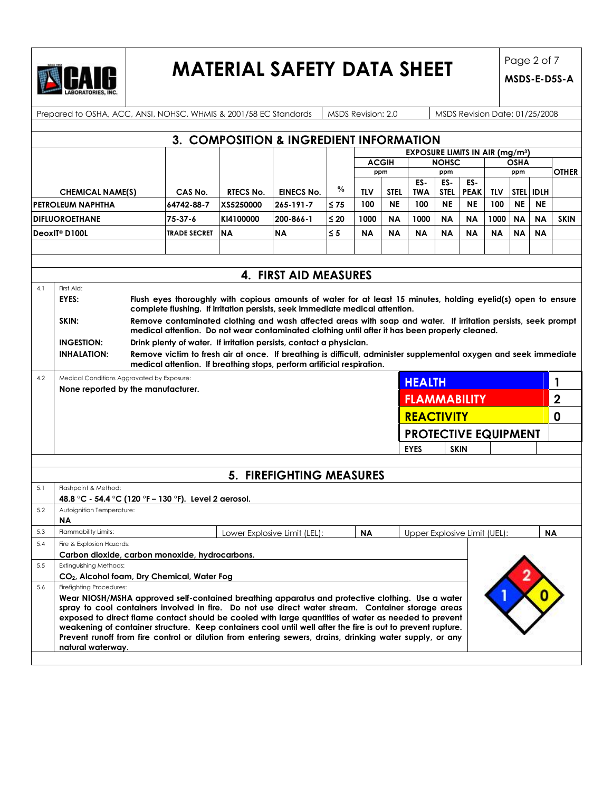

# **MATERIAL SAFETY DATA SHEET** Page 2 of 7

|                                                                                                                                        |                                                                                   | Prepared to OSHA, ACC, ANSI, NOHSC, WHMIS & 2001/58 EC Standards                                                                                                                              |                  |                                         |               | <b>MSDS Revision: 2.0</b> |           |                                                  |              | MSDS Revision Date: 01/25/2008 |           |             |             |              |
|----------------------------------------------------------------------------------------------------------------------------------------|-----------------------------------------------------------------------------------|-----------------------------------------------------------------------------------------------------------------------------------------------------------------------------------------------|------------------|-----------------------------------------|---------------|---------------------------|-----------|--------------------------------------------------|--------------|--------------------------------|-----------|-------------|-------------|--------------|
|                                                                                                                                        |                                                                                   |                                                                                                                                                                                               |                  | 3. COMPOSITION & INGREDIENT INFORMATION |               |                           |           |                                                  |              |                                |           |             |             |              |
|                                                                                                                                        |                                                                                   |                                                                                                                                                                                               |                  |                                         |               |                           |           | <b>EXPOSURE LIMITS IN AIR (mg/m<sup>3</sup>)</b> |              |                                |           |             |             |              |
|                                                                                                                                        |                                                                                   |                                                                                                                                                                                               |                  |                                         |               | <b>ACGIH</b>              |           |                                                  | <b>NOHSC</b> |                                |           | <b>OSHA</b> |             |              |
|                                                                                                                                        |                                                                                   |                                                                                                                                                                                               |                  |                                         |               |                           | ppm       |                                                  | ppm          |                                |           | ppm         |             | <b>OTHER</b> |
|                                                                                                                                        |                                                                                   |                                                                                                                                                                                               |                  |                                         |               |                           |           | ES-                                              | ES-          | ES-                            |           |             |             |              |
|                                                                                                                                        | <b>CHEMICAL NAME(S)</b>                                                           | CAS No.                                                                                                                                                                                       | <b>RTECS No.</b> | <b>EINECS No.</b>                       | $\frac{0}{0}$ | <b>TLV</b>                | STEL      | <b>TWA</b>                                       | <b>STEL</b>  | <b>PEAK</b>                    | TLV       | <b>STEL</b> | <b>IDLH</b> |              |
|                                                                                                                                        | IPETROLEUM NAPHTHA                                                                | 64742-88-7                                                                                                                                                                                    | XS5250000        | 265-191-7                               | $\leq 75$     | 100                       | <b>NE</b> | 100                                              | <b>NE</b>    | <b>NE</b>                      | 100       | <b>NE</b>   | <b>NE</b>   |              |
| <b>DIFLUOROETHANE</b>                                                                                                                  |                                                                                   | $75 - 37 - 6$                                                                                                                                                                                 | KI4100000        | 200-866-1                               | $\leq 20$     | 1000                      | ΝA        | 1000                                             | <b>NA</b>    | <b>NA</b>                      | 1000      | <b>NA</b>   | <b>NA</b>   | <b>SKIN</b>  |
|                                                                                                                                        | DeoxIT® D100L                                                                     | <b>TRADE SECRET</b>                                                                                                                                                                           | <b>INA</b>       | <b>NA</b>                               | $\leq 5$      | <b>NA</b>                 | ΝA        | <b>NA</b>                                        | <b>NA</b>    | <b>NA</b>                      | <b>NA</b> | <b>NA</b>   | <b>NA</b>   |              |
|                                                                                                                                        |                                                                                   |                                                                                                                                                                                               |                  |                                         |               |                           |           |                                                  |              |                                |           |             |             |              |
|                                                                                                                                        |                                                                                   |                                                                                                                                                                                               |                  |                                         |               |                           |           |                                                  |              |                                |           |             |             |              |
|                                                                                                                                        |                                                                                   |                                                                                                                                                                                               |                  | 4. FIRST AID MEASURES                   |               |                           |           |                                                  |              |                                |           |             |             |              |
| 4.1                                                                                                                                    | First Aid:                                                                        |                                                                                                                                                                                               |                  |                                         |               |                           |           |                                                  |              |                                |           |             |             |              |
|                                                                                                                                        | EYES:                                                                             | Flush eyes thoroughly with copious amounts of water for at least 15 minutes, holding eyelid(s) open to ensure<br>complete flushing. If irritation persists, seek immediate medical attention. |                  |                                         |               |                           |           |                                                  |              |                                |           |             |             |              |
|                                                                                                                                        | SKIN:                                                                             | Remove contaminated clothing and wash affected areas with soap and water. If irritation persists, seek prompt                                                                                 |                  |                                         |               |                           |           |                                                  |              |                                |           |             |             |              |
|                                                                                                                                        |                                                                                   | medical attention. Do not wear contaminated clothing until after it has been properly cleaned.                                                                                                |                  |                                         |               |                           |           |                                                  |              |                                |           |             |             |              |
|                                                                                                                                        | <b>INGESTION:</b>                                                                 | Drink plenty of water. If irritation persists, contact a physician.                                                                                                                           |                  |                                         |               |                           |           |                                                  |              |                                |           |             |             |              |
| Remove victim to fresh air at once. If breathing is difficult, administer supplemental oxygen and seek immediate<br><b>INHALATION:</b> |                                                                                   |                                                                                                                                                                                               |                  |                                         |               |                           |           |                                                  |              |                                |           |             |             |              |
|                                                                                                                                        |                                                                                   | medical attention. If breathing stops, perform artificial respiration.                                                                                                                        |                  |                                         |               |                           |           |                                                  |              |                                |           |             |             |              |
| 4.2                                                                                                                                    | Medical Conditions Aggravated by Exposure:<br><b>HEALTH</b>                       |                                                                                                                                                                                               |                  |                                         | 1             |                           |           |                                                  |              |                                |           |             |             |              |
| None reported by the manufacturer.                                                                                                     |                                                                                   |                                                                                                                                                                                               |                  |                                         |               |                           |           | <b>FLAMMABILITY</b>                              |              |                                |           |             |             | $\mathbf 2$  |
|                                                                                                                                        |                                                                                   |                                                                                                                                                                                               |                  |                                         |               |                           |           | <b>REACTIVITY</b>                                |              |                                |           |             | 0           |              |
|                                                                                                                                        |                                                                                   |                                                                                                                                                                                               |                  |                                         |               |                           |           | <b>PROTECTIVE EQUIPMENT</b>                      |              |                                |           |             |             |              |
|                                                                                                                                        |                                                                                   |                                                                                                                                                                                               |                  |                                         |               |                           |           | <b>EYES</b>                                      |              | <b>SKIN</b>                    |           |             |             |              |
|                                                                                                                                        |                                                                                   |                                                                                                                                                                                               |                  |                                         |               |                           |           |                                                  |              |                                |           |             |             |              |
|                                                                                                                                        |                                                                                   |                                                                                                                                                                                               |                  | 5. FIREFIGHTING MEASURES                |               |                           |           |                                                  |              |                                |           |             |             |              |
| 5.1                                                                                                                                    | Flashpoint & Method:                                                              |                                                                                                                                                                                               |                  |                                         |               |                           |           |                                                  |              |                                |           |             |             |              |
|                                                                                                                                        |                                                                                   | 48.8 °C - 54.4 °C (120 °F – 130 °F). Level 2 aerosol.                                                                                                                                         |                  |                                         |               |                           |           |                                                  |              |                                |           |             |             |              |
| 5.2                                                                                                                                    | Autoignition Temperature:                                                         |                                                                                                                                                                                               |                  |                                         |               |                           |           |                                                  |              |                                |           |             |             |              |
|                                                                                                                                        | ΝA                                                                                |                                                                                                                                                                                               |                  |                                         |               |                           |           |                                                  |              |                                |           |             |             |              |
| 5.3                                                                                                                                    | Flammability Limits:                                                              |                                                                                                                                                                                               |                  | Lower Explosive Limit (LEL):            |               | <b>NA</b>                 |           | Upper Explosive Limit (UEL):                     |              |                                |           |             |             | ΝA           |
| 5.4                                                                                                                                    | Fire & Explosion Hazards:                                                         |                                                                                                                                                                                               |                  |                                         |               |                           |           |                                                  |              |                                |           |             |             |              |
| 5.5                                                                                                                                    | Carbon dioxide, carbon monoxide, hydrocarbons.                                    |                                                                                                                                                                                               |                  |                                         |               |                           |           |                                                  |              |                                |           |             |             |              |
|                                                                                                                                        | Extinguishing Methods:<br>CO <sub>2</sub> , Alcohol foam, Dry Chemical, Water Fog |                                                                                                                                                                                               |                  |                                         |               |                           |           |                                                  |              |                                |           |             |             |              |
| 5.6                                                                                                                                    | Firefighting Procedures:                                                          |                                                                                                                                                                                               |                  |                                         |               |                           |           |                                                  |              |                                |           |             |             |              |
|                                                                                                                                        |                                                                                   | Wear NIOSH/MSHA approved self-contained breathing apparatus and protective clothing. Use a water                                                                                              |                  |                                         |               |                           |           |                                                  |              |                                |           |             |             |              |
|                                                                                                                                        |                                                                                   | spray to cool containers involved in fire. Do not use direct water stream. Container storage areas                                                                                            |                  |                                         |               |                           |           |                                                  |              |                                |           |             |             |              |
|                                                                                                                                        |                                                                                   | exposed to direct flame contact should be cooled with large quantities of water as needed to prevent                                                                                          |                  |                                         |               |                           |           |                                                  |              |                                |           |             |             |              |
|                                                                                                                                        |                                                                                   | weakening of container structure. Keep containers cool until well after the fire is out to prevent rupture.                                                                                   |                  |                                         |               |                           |           |                                                  |              |                                |           |             |             |              |
|                                                                                                                                        | natural waterway.                                                                 | Prevent runoff from fire control or dilution from entering sewers, drains, drinking water supply, or any                                                                                      |                  |                                         |               |                           |           |                                                  |              |                                |           |             |             |              |
|                                                                                                                                        |                                                                                   |                                                                                                                                                                                               |                  |                                         |               |                           |           |                                                  |              |                                |           |             |             |              |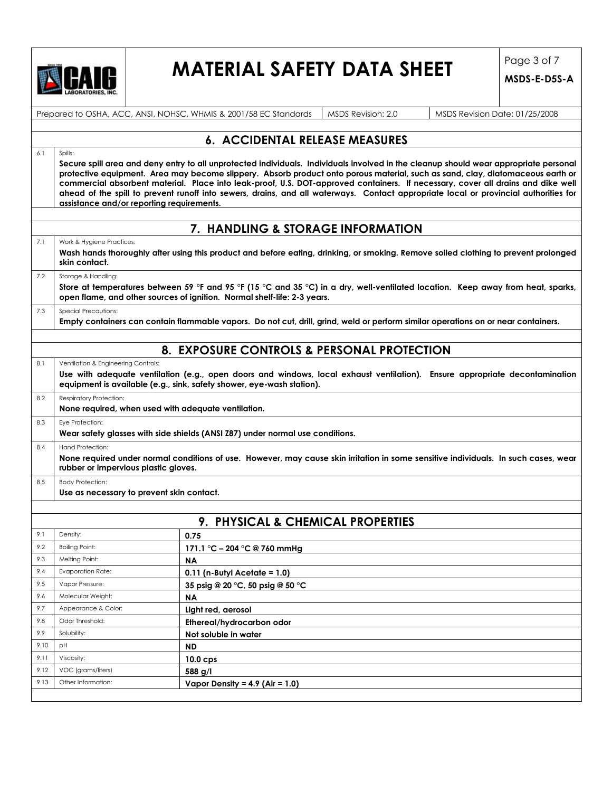

# **MATERIAL SAFETY DATA SHEET** Page 3 of 7

|      |                                                                                                  | Prepared to OSHA, ACC, ANSI, NOHSC, WHMIS & 2001/58 EC Standards                                                                                                                                                                                                                                                                                                                                                                                                                                                                                                                                 | MSDS Revision: 2.0 | MSDS Revision Date: 01/25/2008 |  |  |
|------|--------------------------------------------------------------------------------------------------|--------------------------------------------------------------------------------------------------------------------------------------------------------------------------------------------------------------------------------------------------------------------------------------------------------------------------------------------------------------------------------------------------------------------------------------------------------------------------------------------------------------------------------------------------------------------------------------------------|--------------------|--------------------------------|--|--|
|      |                                                                                                  | <b>6. ACCIDENTAL RELEASE MEASURES</b>                                                                                                                                                                                                                                                                                                                                                                                                                                                                                                                                                            |                    |                                |  |  |
| 6.1  | Spills:                                                                                          | Secure spill area and deny entry to all unprotected individuals. Individuals involved in the cleanup should wear appropriate personal<br>protective equipment. Area may become slippery. Absorb product onto porous material, such as sand, clay, diatomaceous earth or<br>commercial absorbent material. Place into leak-proof, U.S. DOT-approved containers. If necessary, cover all drains and dike well<br>ahead of the spill to prevent runoff into sewers, drains, and all waterways. Contact appropriate local or provincial authorities for<br>assistance and/or reporting requirements. |                    |                                |  |  |
|      |                                                                                                  | 7. HANDLING & STORAGE INFORMATION                                                                                                                                                                                                                                                                                                                                                                                                                                                                                                                                                                |                    |                                |  |  |
| 7.1  | Work & Hygiene Practices:<br>skin contact.                                                       | Wash hands thoroughly after using this product and before eating, drinking, or smoking. Remove soiled clothing to prevent prolonged                                                                                                                                                                                                                                                                                                                                                                                                                                                              |                    |                                |  |  |
| 7.2  | Storage & Handling:                                                                              | Store at temperatures between 59 °F and 95 °F (15 °C and 35 °C) in a dry, well-ventilated location. Keep away from heat, sparks,<br>open flame, and other sources of ignition. Normal shelf-life: 2-3 years.                                                                                                                                                                                                                                                                                                                                                                                     |                    |                                |  |  |
| 7.3  | Special Precautions:                                                                             | Empty containers can contain flammable vapors. Do not cut, drill, grind, weld or perform similar operations on or near containers.                                                                                                                                                                                                                                                                                                                                                                                                                                                               |                    |                                |  |  |
|      |                                                                                                  | 8. EXPOSURE CONTROLS & PERSONAL PROTECTION                                                                                                                                                                                                                                                                                                                                                                                                                                                                                                                                                       |                    |                                |  |  |
| 8.1  | Ventilation & Engineering Controls:                                                              | Use with adequate ventilation (e.g., open doors and windows, local exhaust ventilation). Ensure appropriate decontamination<br>equipment is available (e.g., sink, safety shower, eye-wash station).                                                                                                                                                                                                                                                                                                                                                                                             |                    |                                |  |  |
| 8.2  | <b>Respiratory Protection:</b><br>None required, when used with adequate ventilation.            |                                                                                                                                                                                                                                                                                                                                                                                                                                                                                                                                                                                                  |                    |                                |  |  |
| 8.3  | Eye Protection:<br>Wear safety glasses with side shields (ANSI Z87) under normal use conditions. |                                                                                                                                                                                                                                                                                                                                                                                                                                                                                                                                                                                                  |                    |                                |  |  |
| 8.4  | <b>Hand Protection:</b>                                                                          | None required under normal conditions of use. However, may cause skin irritation in some sensitive individuals. In such cases, wear<br>rubber or impervious plastic gloves.                                                                                                                                                                                                                                                                                                                                                                                                                      |                    |                                |  |  |
| 8.5  | <b>Body Protection:</b>                                                                          | Use as necessary to prevent skin contact.                                                                                                                                                                                                                                                                                                                                                                                                                                                                                                                                                        |                    |                                |  |  |
|      |                                                                                                  | 9. PHYSICAL & CHEMICAL PROPERTIES                                                                                                                                                                                                                                                                                                                                                                                                                                                                                                                                                                |                    |                                |  |  |
| 9.1  | Density:                                                                                         | 0.75                                                                                                                                                                                                                                                                                                                                                                                                                                                                                                                                                                                             |                    |                                |  |  |
| 9.2  | Boiling Point:                                                                                   | 171.1 °C - 204 °C @ 760 mmHg                                                                                                                                                                                                                                                                                                                                                                                                                                                                                                                                                                     |                    |                                |  |  |
| 9.3  | Melting Point:                                                                                   | ΝA                                                                                                                                                                                                                                                                                                                                                                                                                                                                                                                                                                                               |                    |                                |  |  |
| 9.4  | <b>Evaporation Rate:</b>                                                                         | $0.11$ (n-Butyl Acetate = 1.0)                                                                                                                                                                                                                                                                                                                                                                                                                                                                                                                                                                   |                    |                                |  |  |
| 9.5  | Vapor Pressure:                                                                                  | 35 psig @ 20 °C, 50 psig @ 50 °C                                                                                                                                                                                                                                                                                                                                                                                                                                                                                                                                                                 |                    |                                |  |  |
| 9.6  | Molecular Weight:                                                                                | <b>NA</b>                                                                                                                                                                                                                                                                                                                                                                                                                                                                                                                                                                                        |                    |                                |  |  |
| 9.7  | Appearance & Color:                                                                              | Light red, aerosol                                                                                                                                                                                                                                                                                                                                                                                                                                                                                                                                                                               |                    |                                |  |  |
| 9.8  | Odor Threshold:                                                                                  | Ethereal/hydrocarbon odor                                                                                                                                                                                                                                                                                                                                                                                                                                                                                                                                                                        |                    |                                |  |  |
| 9.9  | Solubility:                                                                                      | Not soluble in water                                                                                                                                                                                                                                                                                                                                                                                                                                                                                                                                                                             |                    |                                |  |  |
| 9.10 | pH                                                                                               | <b>ND</b>                                                                                                                                                                                                                                                                                                                                                                                                                                                                                                                                                                                        |                    |                                |  |  |
| 9.11 | Viscosity:                                                                                       | $10.0$ cps                                                                                                                                                                                                                                                                                                                                                                                                                                                                                                                                                                                       |                    |                                |  |  |
| 9.12 | VOC (grams/liters)                                                                               | 588 g/l                                                                                                                                                                                                                                                                                                                                                                                                                                                                                                                                                                                          |                    |                                |  |  |
|      | Other Information:                                                                               | Vapor Density = $4.9$ (Air = 1.0)                                                                                                                                                                                                                                                                                                                                                                                                                                                                                                                                                                |                    |                                |  |  |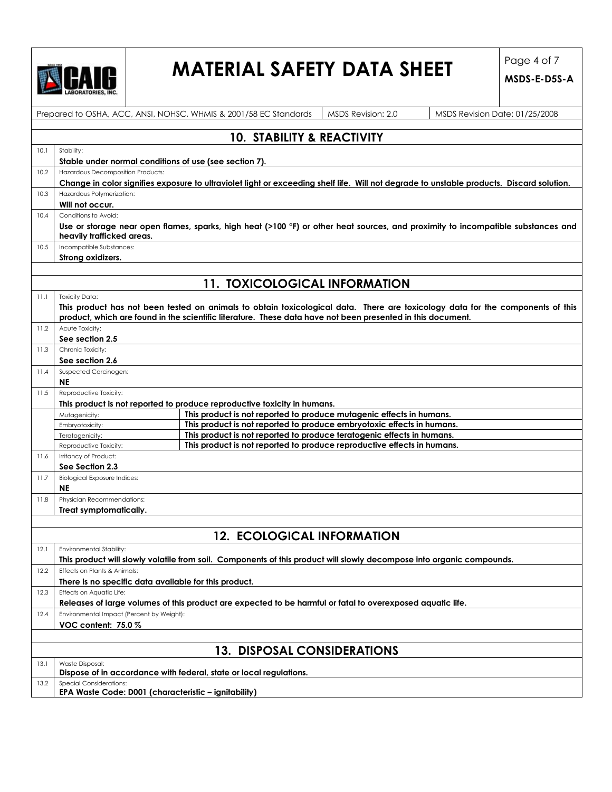

# **MATERIAL SAFETY DATA SHEET**  $\int_{\text{MSS E PSS}}^{\text{Page 4 of 7}}$

|      |                                                                                        | Prepared to OSHA, ACC, ANSI, NOHSC, WHMIS & 2001/58 EC Standards                                                      | MSDS Revision: 2.0 | MSDS Revision Date: 01/25/2008                                                                                                            |
|------|----------------------------------------------------------------------------------------|-----------------------------------------------------------------------------------------------------------------------|--------------------|-------------------------------------------------------------------------------------------------------------------------------------------|
|      |                                                                                        | <b>10. STABILITY &amp; REACTIVITY</b>                                                                                 |                    |                                                                                                                                           |
| 10.1 | Stability:                                                                             |                                                                                                                       |                    |                                                                                                                                           |
|      | Stable under normal conditions of use (see section 7).                                 |                                                                                                                       |                    |                                                                                                                                           |
| 10.2 | Hazardous Decomposition Products:                                                      |                                                                                                                       |                    |                                                                                                                                           |
|      |                                                                                        |                                                                                                                       |                    | Change in color signifies exposure to ultraviolet light or exceeding shelf life. Will not degrade to unstable products. Discard solution. |
| 10.3 | Hazardous Polymerization:                                                              |                                                                                                                       |                    |                                                                                                                                           |
|      | Will not occur.                                                                        |                                                                                                                       |                    |                                                                                                                                           |
| 10.4 | Conditions to Avoid:                                                                   |                                                                                                                       |                    |                                                                                                                                           |
|      | heavily trafficked areas.                                                              |                                                                                                                       |                    | Use or storage near open flames, sparks, high heat (>100 °F) or other heat sources, and proximity to incompatible substances and          |
| 10.5 | Incompatible Substances:                                                               |                                                                                                                       |                    |                                                                                                                                           |
|      | Strong oxidizers.                                                                      |                                                                                                                       |                    |                                                                                                                                           |
|      |                                                                                        |                                                                                                                       |                    |                                                                                                                                           |
|      |                                                                                        | <b>11. TOXICOLOGICAL INFORMATION</b>                                                                                  |                    |                                                                                                                                           |
| 11.1 | <b>Toxicity Data:</b>                                                                  |                                                                                                                       |                    |                                                                                                                                           |
|      |                                                                                        | product, which are found in the scientific literature. These data have not been presented in this document.           |                    | This product has not been tested on animals to obtain toxicological data. There are toxicology data for the components of this            |
| 11.2 | Acute Toxicity:                                                                        |                                                                                                                       |                    |                                                                                                                                           |
|      | See section 2.5                                                                        |                                                                                                                       |                    |                                                                                                                                           |
| 11.3 | Chronic Toxicity:                                                                      |                                                                                                                       |                    |                                                                                                                                           |
|      | See section 2.6                                                                        |                                                                                                                       |                    |                                                                                                                                           |
| 11.4 | Suspected Carcinogen:<br><b>NE</b>                                                     |                                                                                                                       |                    |                                                                                                                                           |
| 11.5 | Reproductive Toxicity:                                                                 |                                                                                                                       |                    |                                                                                                                                           |
|      |                                                                                        | This product is not reported to produce reproductive toxicity in humans.                                              |                    |                                                                                                                                           |
|      | Mutagenicity:                                                                          | This product is not reported to produce mutagenic effects in humans.                                                  |                    |                                                                                                                                           |
|      | Embryotoxicity:                                                                        | This product is not reported to produce embryotoxic effects in humans.                                                |                    |                                                                                                                                           |
|      | Teratogenicity:                                                                        | This product is not reported to produce teratogenic effects in humans.                                                |                    |                                                                                                                                           |
|      | Reproductive Toxicity:                                                                 | This product is not reported to produce reproductive effects in humans.                                               |                    |                                                                                                                                           |
| 11.6 | Irritancy of Product:                                                                  |                                                                                                                       |                    |                                                                                                                                           |
|      | See Section 2.3                                                                        |                                                                                                                       |                    |                                                                                                                                           |
| 11.7 | <b>Biological Exposure Indices:</b>                                                    |                                                                                                                       |                    |                                                                                                                                           |
|      | <b>NE</b>                                                                              |                                                                                                                       |                    |                                                                                                                                           |
| 11.8 | Physician Recommendations:                                                             |                                                                                                                       |                    |                                                                                                                                           |
|      | Treat symptomatically.                                                                 |                                                                                                                       |                    |                                                                                                                                           |
|      |                                                                                        |                                                                                                                       |                    |                                                                                                                                           |
|      |                                                                                        | <b>12. ECOLOGICAL INFORMATION</b>                                                                                     |                    |                                                                                                                                           |
| 12.1 | Environmental Stability:                                                               |                                                                                                                       |                    |                                                                                                                                           |
|      |                                                                                        | This product will slowly volatile from soil. Components of this product will slowly decompose into organic compounds. |                    |                                                                                                                                           |
| 12.2 | Effects on Plants & Animals:                                                           |                                                                                                                       |                    |                                                                                                                                           |
|      | There is no specific data available for this product.                                  |                                                                                                                       |                    |                                                                                                                                           |
| 12.3 | Effects on Aquatic Life:                                                               |                                                                                                                       |                    |                                                                                                                                           |
|      |                                                                                        | Releases of large volumes of this product are expected to be harmful or fatal to overexposed aquatic life.            |                    |                                                                                                                                           |
| 12.4 | Environmental Impact (Percent by Weight):<br>VOC content: 75.0%                        |                                                                                                                       |                    |                                                                                                                                           |
|      |                                                                                        |                                                                                                                       |                    |                                                                                                                                           |
|      |                                                                                        | 13. DISPOSAL CONSIDERATIONS                                                                                           |                    |                                                                                                                                           |
| 13.1 | Waste Disposal:                                                                        | Dispose of in accordance with federal, state or local regulations.                                                    |                    |                                                                                                                                           |
| 13.2 | <b>Special Considerations:</b><br>EPA Waste Code: D001 (characteristic - ignitability) |                                                                                                                       |                    |                                                                                                                                           |
|      |                                                                                        |                                                                                                                       |                    |                                                                                                                                           |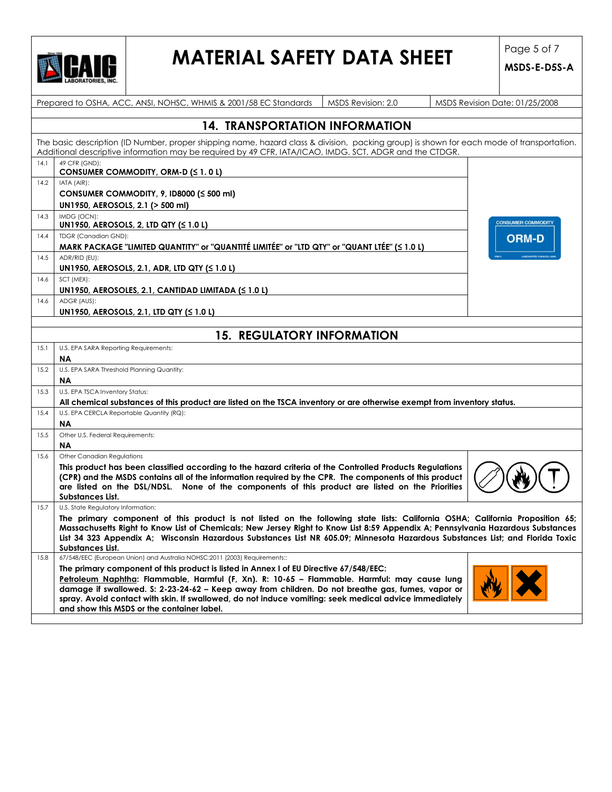

## **MATERIAL SAFETY DATA SHEET** Page 5 of 7

|      | Prepared to OSHA, ACC, ANSI, NOHSC, WHMIS & 2001/58 EC Standards<br>MSDS Revision: 2.0<br>MSDS Revision Date: 01/25/2008                                                                                                                                                                                                                                                                                                                           |                           |  |  |  |  |  |
|------|----------------------------------------------------------------------------------------------------------------------------------------------------------------------------------------------------------------------------------------------------------------------------------------------------------------------------------------------------------------------------------------------------------------------------------------------------|---------------------------|--|--|--|--|--|
|      | <b>14. TRANSPORTATION INFORMATION</b>                                                                                                                                                                                                                                                                                                                                                                                                              |                           |  |  |  |  |  |
|      | The basic description (ID Number, proper shipping name, hazard class & division, packing group) is shown for each mode of transportation.<br>Additional descriptive information may be required by 49 CFR, IATA/ICAO, IMDG, SCT, ADGR and the CTDGR.                                                                                                                                                                                               |                           |  |  |  |  |  |
| 14.1 | 49 CFR (GND):<br>CONSUMER COMMODITY, ORM-D (≤ 1.0 L)                                                                                                                                                                                                                                                                                                                                                                                               |                           |  |  |  |  |  |
| 14.2 | IATA (AIR):<br>CONSUMER COMMODITY, 9, ID8000 (≤ 500 ml)                                                                                                                                                                                                                                                                                                                                                                                            |                           |  |  |  |  |  |
|      | UN1950, AEROSOLS, 2.1 (> 500 ml)                                                                                                                                                                                                                                                                                                                                                                                                                   |                           |  |  |  |  |  |
| 14.3 | IMDG (OCN):<br>UN1950, AEROSOLS, 2, LTD QTY (≤ 1.0 L)                                                                                                                                                                                                                                                                                                                                                                                              | <b>CONSUMER COMMODITY</b> |  |  |  |  |  |
| 14.4 | <b>TDGR</b> (Canadian GND):<br>MARK PACKAGE "LIMITED QUANTITY" or "QUANTITÉ LIMITÉE" or "LTD QTY" or "QUANT LTÉE" (< 1.0 L)                                                                                                                                                                                                                                                                                                                        | <b>ORM-D</b>              |  |  |  |  |  |
| 14.5 | ADR/RID (EU):<br>UN1950, AEROSOLS, 2.1, ADR, LTD QTY (<1.0L)                                                                                                                                                                                                                                                                                                                                                                                       |                           |  |  |  |  |  |
| 14.6 | SCT (MEX):<br>UN1950, AEROSOLES, 2.1, CANTIDAD LIMITADA ( $\leq 1.0$ L)                                                                                                                                                                                                                                                                                                                                                                            |                           |  |  |  |  |  |
| 14.6 | ADGR (AUS):<br>UN1950, AEROSOLS, 2.1, LTD QTY (≤ 1.0 L)                                                                                                                                                                                                                                                                                                                                                                                            |                           |  |  |  |  |  |
|      | <b>15. REGULATORY INFORMATION</b>                                                                                                                                                                                                                                                                                                                                                                                                                  |                           |  |  |  |  |  |
| 15.1 | U.S. EPA SARA Reporting Requirements:                                                                                                                                                                                                                                                                                                                                                                                                              |                           |  |  |  |  |  |
| 15.2 | ΝA<br>U.S. EPA SARA Threshold Planning Quantity:                                                                                                                                                                                                                                                                                                                                                                                                   |                           |  |  |  |  |  |
| 15.3 | ΝA<br>U.S. EPA TSCA Inventory Status:                                                                                                                                                                                                                                                                                                                                                                                                              |                           |  |  |  |  |  |
| 15.4 | All chemical substances of this product are listed on the TSCA inventory or are otherwise exempt from inventory status.<br>U.S. EPA CERCLA Reportable Quantity (RQ):                                                                                                                                                                                                                                                                               |                           |  |  |  |  |  |
|      | ΝA                                                                                                                                                                                                                                                                                                                                                                                                                                                 |                           |  |  |  |  |  |
| 15.5 | Other U.S. Federal Requirements:<br>ΝA                                                                                                                                                                                                                                                                                                                                                                                                             |                           |  |  |  |  |  |
| 15.6 | Other Canadian Regulations<br>This product has been classified according to the hazard criteria of the Controlled Products Regulations                                                                                                                                                                                                                                                                                                             |                           |  |  |  |  |  |
|      | (CPR) and the MSDS contains all of the information required by the CPR. The components of this product<br>are listed on the DSL/NDSL. None of the components of this product are listed on the Priorities<br>Substances List.                                                                                                                                                                                                                      |                           |  |  |  |  |  |
| 15.7 | U.S. State Regulatory Information:                                                                                                                                                                                                                                                                                                                                                                                                                 |                           |  |  |  |  |  |
|      | The primary component of this product is not listed on the following state lists: California OSHA; California Proposition 65;<br>Massachusetts Right to Know List of Chemicals; New Jersey Right to Know List 8:59 Appendix A; Pennsylvania Hazardous Substances<br>List 34 323 Appendix A; Wisconsin Hazardous Substances List NR 605.09; Minnesota Hazardous Substances List; and Florida Toxic<br>Substances List.                              |                           |  |  |  |  |  |
| 15.8 | 67/548/EEC (European Union) and Australia NOHSC:2011 (2003) Requirements::                                                                                                                                                                                                                                                                                                                                                                         |                           |  |  |  |  |  |
|      | The primary component of this product is listed in Annex I of EU Directive 67/548/EEC:<br>Petroleum Naphtha: Flammable, Harmful (F, Xn). R: 10-65 - Flammable. Harmful: may cause lung<br>damage if swallowed. S: 2-23-24-62 - Keep away from children. Do not breathe gas, fumes, vapor or<br>spray. Avoid contact with skin. If swallowed, do not induce vomiting: seek medical advice immediately<br>and show this MSDS or the container label. |                           |  |  |  |  |  |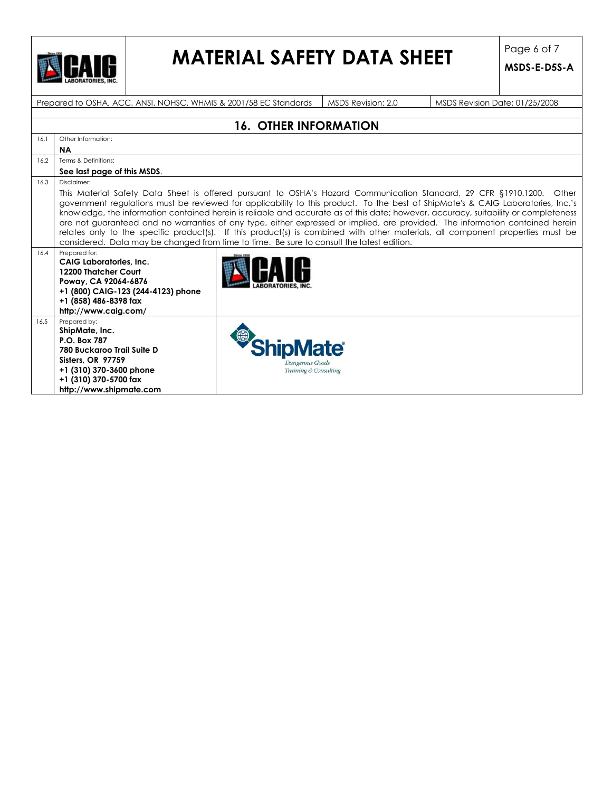

# **MATERIAL SAFETY DATA SHEET** Page 6 of 7

**MSDS-E-D5S-A**

Prepared to OSHA, ACC, ANSI, NOHSC, WHMIS & 2001/58 EC Standards | MSDS Revision: 2.0 MSDS Revision Date: 01/25/2008

|      | <b>16. OTHER INFORMATION</b>                                                                                                                                                                                                                                                                                                                                                                                                                                                                                                                                                                                                                                                                                                                                      |                                          |  |  |  |  |  |
|------|-------------------------------------------------------------------------------------------------------------------------------------------------------------------------------------------------------------------------------------------------------------------------------------------------------------------------------------------------------------------------------------------------------------------------------------------------------------------------------------------------------------------------------------------------------------------------------------------------------------------------------------------------------------------------------------------------------------------------------------------------------------------|------------------------------------------|--|--|--|--|--|
| 16.1 | Other Information:                                                                                                                                                                                                                                                                                                                                                                                                                                                                                                                                                                                                                                                                                                                                                |                                          |  |  |  |  |  |
|      | <b>NA</b>                                                                                                                                                                                                                                                                                                                                                                                                                                                                                                                                                                                                                                                                                                                                                         |                                          |  |  |  |  |  |
| 16.2 | Terms & Definitions:                                                                                                                                                                                                                                                                                                                                                                                                                                                                                                                                                                                                                                                                                                                                              |                                          |  |  |  |  |  |
|      | See last page of this MSDS.                                                                                                                                                                                                                                                                                                                                                                                                                                                                                                                                                                                                                                                                                                                                       |                                          |  |  |  |  |  |
| 16.3 | Disclaimer:                                                                                                                                                                                                                                                                                                                                                                                                                                                                                                                                                                                                                                                                                                                                                       |                                          |  |  |  |  |  |
|      | This Material Safety Data Sheet is offered pursuant to OSHA's Hazard Communication Standard, 29 CFR §1910.1200. Other<br>government regulations must be reviewed for applicability to this product. To the best of ShipMate's & CAIG Laboratories, Inc.'s<br>knowledge, the information contained herein is reliable and accurate as of this date; however, accuracy, suitability or completeness<br>are not guaranteed and no warranties of any type, either expressed or implied, are provided. The information contained herein<br>relates only to the specific product(s). If this product(s) is combined with other materials, all component properties must be<br>considered. Data may be changed from time to time. Be sure to consult the latest edition. |                                          |  |  |  |  |  |
| 16.4 | Prepared for:<br><b>CAIG Laboratories, Inc.</b><br>12200 Thatcher Court<br>Poway, CA 92064-6876<br>+1 (800) CAIG-123 (244-4123) phone<br>+1 (858) 486-8398 fax<br>http://www.caig.com/                                                                                                                                                                                                                                                                                                                                                                                                                                                                                                                                                                            |                                          |  |  |  |  |  |
| 16.5 | Prepared by:<br>ShipMate, Inc.<br>P.O. Box 787<br>780 Buckaroo Trail Suite D<br>Sisters, OR 97759<br>+1 (310) 370-3600 phone<br>+1 (310) 370-5700 fax<br>http://www.shipmate.com                                                                                                                                                                                                                                                                                                                                                                                                                                                                                                                                                                                  | Dangerous Goods<br>Training & Consulting |  |  |  |  |  |